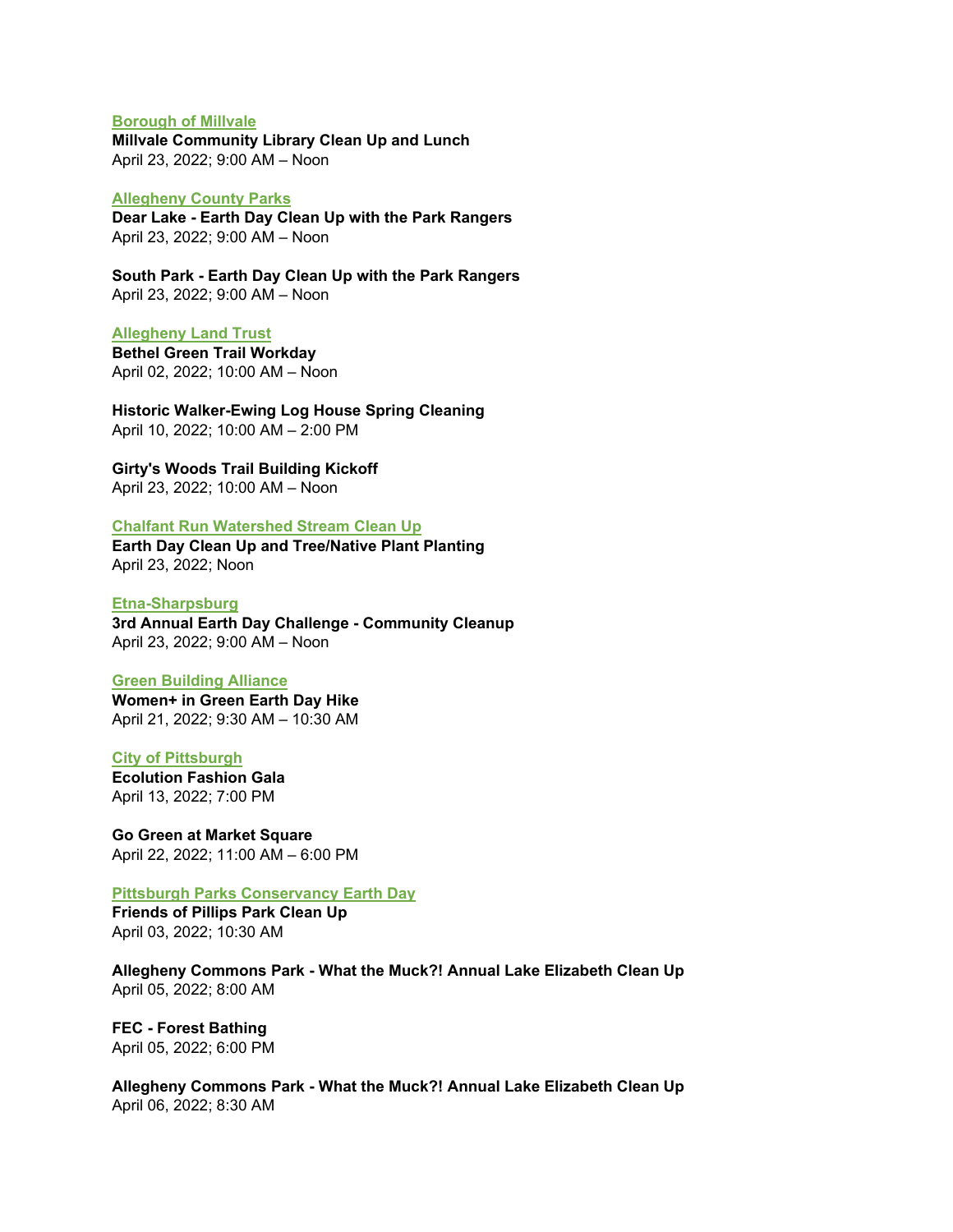#### **[Borough of Millvale](https://swep3rivers.org/event-4750853)**

**Millvale Community Library Clean Up and Lunch** April 23, 2022; 9:00 AM – Noon

## **[Allegheny County Parks](https://anc.apm.activecommunities.com/alleghenyparks/activity/search?onlineSiteId=0&activity_select_param=2&activity_keyword=earth%20day%20clean%20up&viewMode=list)**

**Dear Lake - Earth Day Clean Up with the Park Rangers**  April 23, 2022; 9:00 AM – Noon

**South Park - Earth Day Clean Up with the Park Rangers** April 23, 2022; 9:00 AM – Noon

**[Allegheny Land Trust](https://alleghenylandtrust.org/events/) Bethel Green Trail Workday** April 02, 2022; 10:00 AM – Noon

**Historic Walker-Ewing Log House Spring Cleaning** April 10, 2022; 10:00 AM – 2:00 PM

**Girty's Woods Trail Building Kickoff** April 23, 2022; 10:00 AM – Noon

## **Chalfant Run Watershed Stream Clean Up**

**Earth Day Clean Up and Tree/Native Plant Planting** April 23, 2022; Noon

**[Etna-Sharpsburg](https://www.etnacommunity.org/post/etna-sharpsburg-earth-day-challenge-is-set-for-2022)**

**3rd Annual Earth Day Challenge - Community Cleanup** April 23, 2022; 9:00 AM – Noon

#### **[Green Building Alliance](https://www.go-gba.org/events/women-in-green-earth-day-hike/)**

**Women+ in Green Earth Day Hike** April 21, 2022; 9:30 AM – 10:30 AM

**[City of Pittsburgh](https://pittsburghearthday.org/)**

**Ecolution Fashion Gala** April 13, 2022; 7:00 PM

**Go Green at Market Square** April 22, 2022; 11:00 AM – 6:00 PM

# **[Pittsburgh Parks Conservancy Earth Day](https://pittsburghparks.org/earthmonth/)**

**Friends of Pillips Park Clean Up**  April 03, 2022; 10:30 AM

**Allegheny Commons Park - What the Muck?! Annual Lake Elizabeth Clean Up** April 05, 2022; 8:00 AM

**FEC - Forest Bathing** April 05, 2022; 6:00 PM

**Allegheny Commons Park - What the Muck?! Annual Lake Elizabeth Clean Up** April 06, 2022; 8:30 AM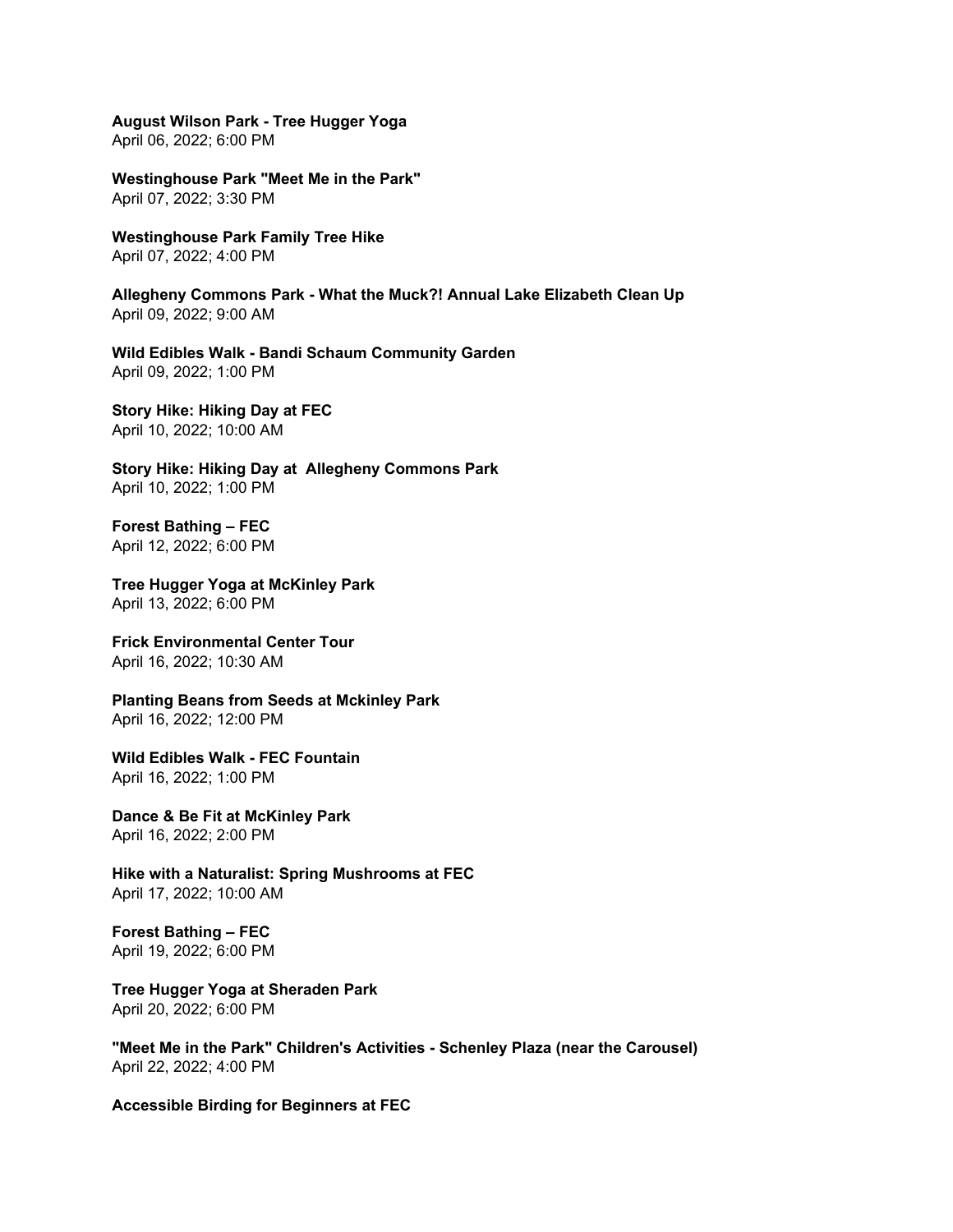**August Wilson Park - Tree Hugger Yoga** April 06, 2022; 6:00 PM

**Westinghouse Park "Meet Me in the Park"**  April 07, 2022; 3:30 PM

**Westinghouse Park Family Tree Hike** April 07, 2022; 4:00 PM

**Allegheny Commons Park - What the Muck?! Annual Lake Elizabeth Clean Up** April 09, 2022; 9:00 AM

**Wild Edibles Walk - Bandi Schaum Community Garden** April 09, 2022; 1:00 PM

**Story Hike: Hiking Day at FEC** April 10, 2022; 10:00 AM

**Story Hike: Hiking Day at Allegheny Commons Park** April 10, 2022; 1:00 PM

**Forest Bathing – FEC** April 12, 2022; 6:00 PM

**Tree Hugger Yoga at McKinley Park** April 13, 2022; 6:00 PM

**Frick Environmental Center Tour** April 16, 2022; 10:30 AM

**Planting Beans from Seeds at Mckinley Park** April 16, 2022; 12:00 PM

**Wild Edibles Walk - FEC Fountain** April 16, 2022; 1:00 PM

**Dance & Be Fit at McKinley Park**  April 16, 2022; 2:00 PM

**Hike with a Naturalist: Spring Mushrooms at FEC** April 17, 2022; 10:00 AM

**Forest Bathing – FEC** April 19, 2022; 6:00 PM

**Tree Hugger Yoga at Sheraden Park** April 20, 2022; 6:00 PM

**"Meet Me in the Park" Children's Activities - Schenley Plaza (near the Carousel)** April 22, 2022; 4:00 PM

**Accessible Birding for Beginners at FEC**